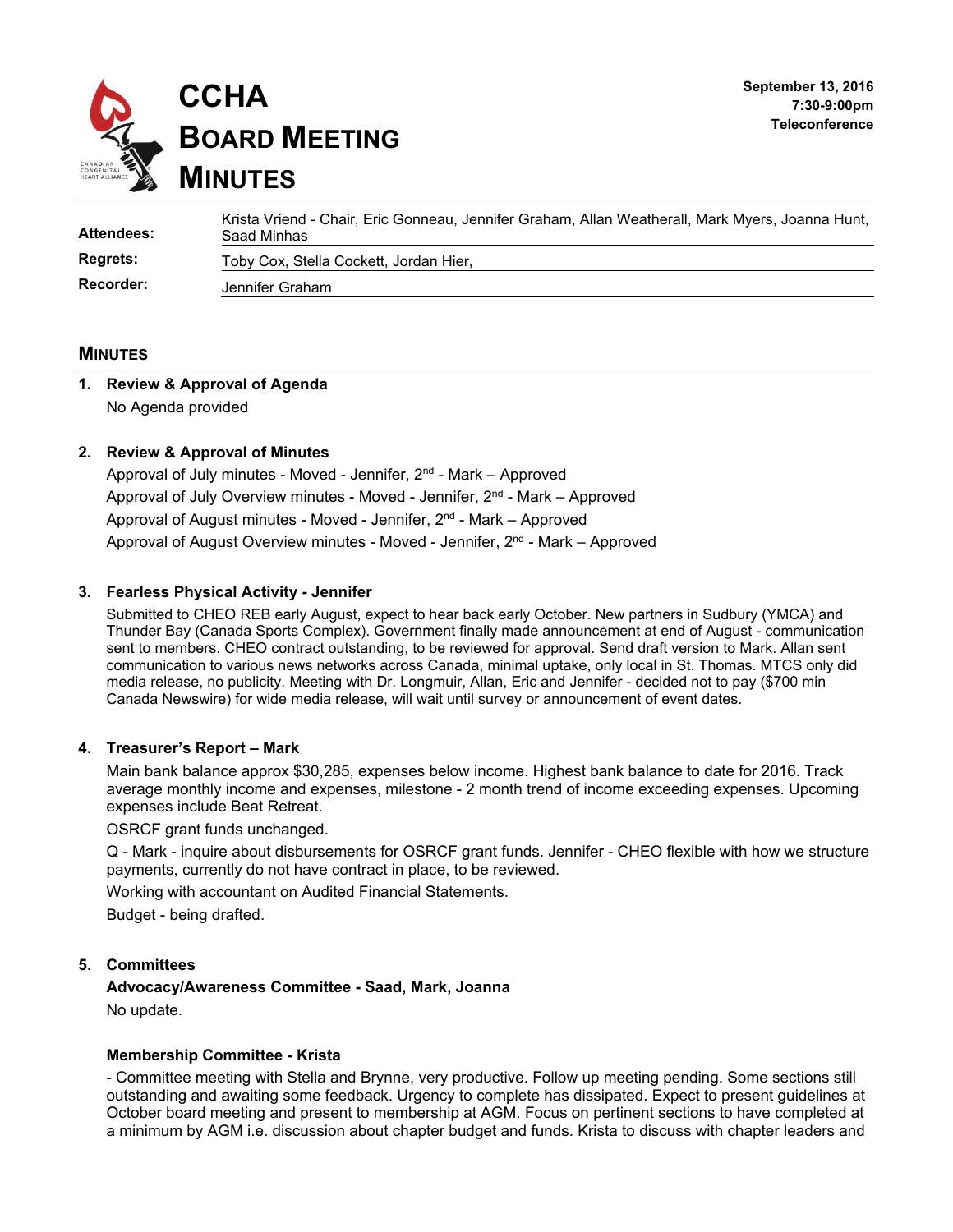

| Attendees:      | Krista Vriend - Chair, Eric Gonneau, Jennifer Graham, Allan Weatherall, Mark Myers, Joanna Hunt,<br>Saad Minhas |
|-----------------|-----------------------------------------------------------------------------------------------------------------|
| <b>Regrets:</b> | Toby Cox, Stella Cockett, Jordan Hier,                                                                          |
| Recorder:       | Jennifer Graham                                                                                                 |

#### **MINUTES**

# **1. Review & Approval of Agenda**  No Agenda provided

#### **2. Review & Approval of Minutes**

Approval of July minutes - Moved - Jennifer,  $2^{nd}$  - Mark – Approved Approval of July Overview minutes - Moved - Jennifer,  $2^{nd}$  - Mark – Approved Approval of August minutes - Moved - Jennifer,  $2<sup>nd</sup>$  - Mark – Approved Approval of August Overview minutes - Moved - Jennifer, 2nd - Mark – Approved

#### **3. Fearless Physical Activity - Jennifer**

Submitted to CHEO REB early August, expect to hear back early October. New partners in Sudbury (YMCA) and Thunder Bay (Canada Sports Complex). Government finally made announcement at end of August - communication sent to members. CHEO contract outstanding, to be reviewed for approval. Send draft version to Mark. Allan sent communication to various news networks across Canada, minimal uptake, only local in St. Thomas. MTCS only did media release, no publicity. Meeting with Dr. Longmuir, Allan, Eric and Jennifer - decided not to pay (\$700 min Canada Newswire) for wide media release, will wait until survey or announcement of event dates.

#### **4. Treasurer's Report – Mark**

Main bank balance approx \$30,285, expenses below income. Highest bank balance to date for 2016. Track average monthly income and expenses, milestone - 2 month trend of income exceeding expenses. Upcoming expenses include Beat Retreat.

#### OSRCF grant funds unchanged.

Q - Mark - inquire about disbursements for OSRCF grant funds. Jennifer - CHEO flexible with how we structure payments, currently do not have contract in place, to be reviewed.

Working with accountant on Audited Financial Statements.

Budget - being drafted.

#### **5. Committees**

**Advocacy/Awareness Committee - Saad, Mark, Joanna**  No update.

#### **Membership Committee - Krista**

- Committee meeting with Stella and Brynne, very productive. Follow up meeting pending. Some sections still outstanding and awaiting some feedback. Urgency to complete has dissipated. Expect to present guidelines at October board meeting and present to membership at AGM. Focus on pertinent sections to have completed at a minimum by AGM i.e. discussion about chapter budget and funds. Krista to discuss with chapter leaders and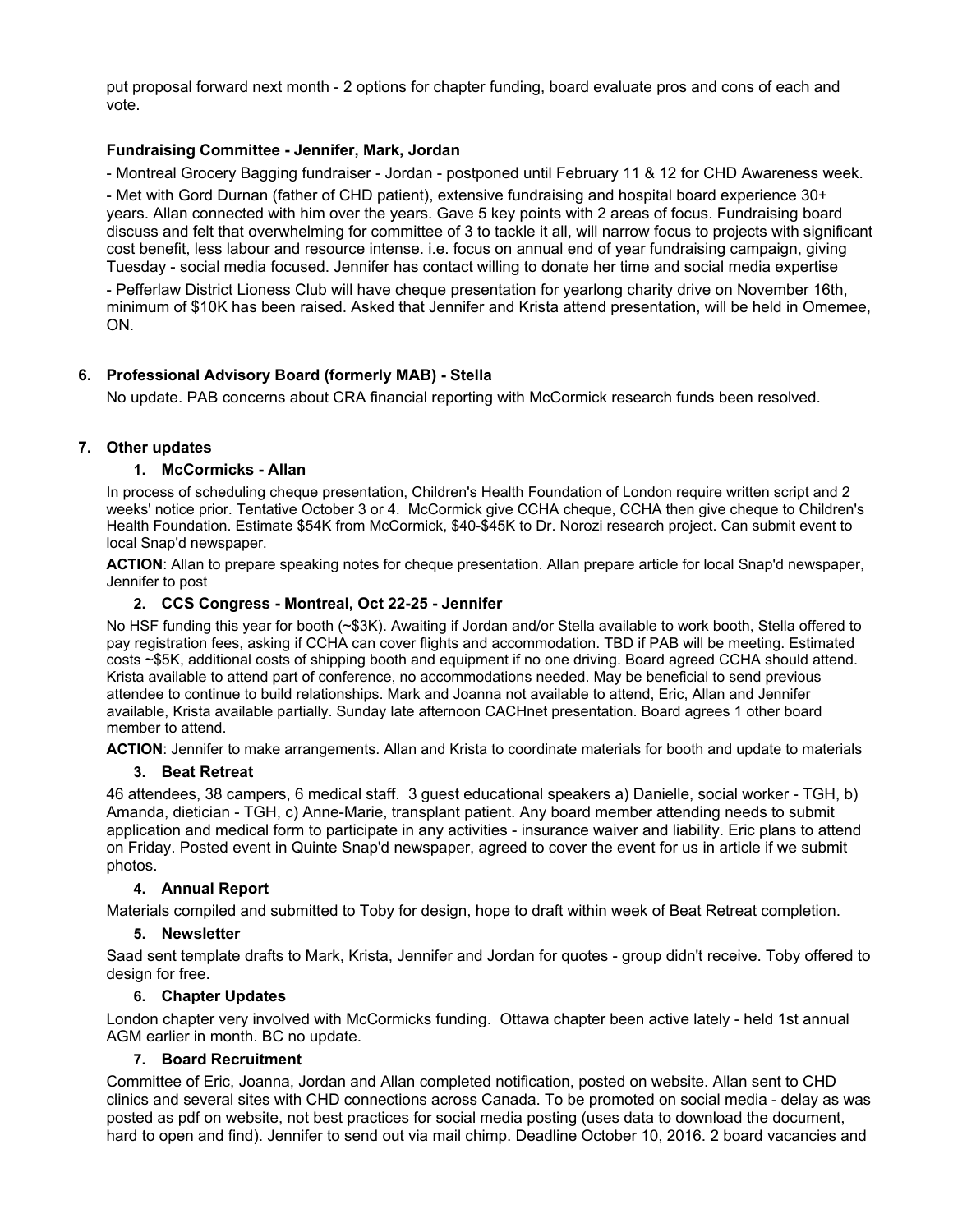put proposal forward next month - 2 options for chapter funding, board evaluate pros and cons of each and vote.

# **Fundraising Committee - Jennifer, Mark, Jordan**

- Montreal Grocery Bagging fundraiser - Jordan - postponed until February 11 & 12 for CHD Awareness week.

- Met with Gord Durnan (father of CHD patient), extensive fundraising and hospital board experience 30+ years. Allan connected with him over the years. Gave 5 key points with 2 areas of focus. Fundraising board discuss and felt that overwhelming for committee of 3 to tackle it all, will narrow focus to projects with significant cost benefit, less labour and resource intense. i.e. focus on annual end of year fundraising campaign, giving Tuesday - social media focused. Jennifer has contact willing to donate her time and social media expertise

- Pefferlaw District Lioness Club will have cheque presentation for yearlong charity drive on November 16th, minimum of \$10K has been raised. Asked that Jennifer and Krista attend presentation, will be held in Omemee, ON.

# **6. Professional Advisory Board (formerly MAB) - Stella**

No update. PAB concerns about CRA financial reporting with McCormick research funds been resolved.

# **7. Other updates**

# **1. McCormicks - Allan**

In process of scheduling cheque presentation, Children's Health Foundation of London require written script and 2 weeks' notice prior. Tentative October 3 or 4. McCormick give CCHA cheque, CCHA then give cheque to Children's Health Foundation. Estimate \$54K from McCormick, \$40-\$45K to Dr. Norozi research project. Can submit event to local Snap'd newspaper.

**ACTION**: Allan to prepare speaking notes for cheque presentation. Allan prepare article for local Snap'd newspaper, Jennifer to post

# **2. CCS Congress - Montreal, Oct 22-25 - Jennifer**

No HSF funding this year for booth (~\$3K). Awaiting if Jordan and/or Stella available to work booth, Stella offered to pay registration fees, asking if CCHA can cover flights and accommodation. TBD if PAB will be meeting. Estimated costs ~\$5K, additional costs of shipping booth and equipment if no one driving. Board agreed CCHA should attend. Krista available to attend part of conference, no accommodations needed. May be beneficial to send previous attendee to continue to build relationships. Mark and Joanna not available to attend, Eric, Allan and Jennifer available, Krista available partially. Sunday late afternoon CACHnet presentation. Board agrees 1 other board member to attend.

**ACTION**: Jennifer to make arrangements. Allan and Krista to coordinate materials for booth and update to materials

# **3. Beat Retreat**

46 attendees, 38 campers, 6 medical staff. 3 guest educational speakers a) Danielle, social worker - TGH, b) Amanda, dietician - TGH, c) Anne-Marie, transplant patient. Any board member attending needs to submit application and medical form to participate in any activities - insurance waiver and liability. Eric plans to attend on Friday. Posted event in Quinte Snap'd newspaper, agreed to cover the event for us in article if we submit photos.

# **4. Annual Report**

Materials compiled and submitted to Toby for design, hope to draft within week of Beat Retreat completion.

# **5. Newsletter**

Saad sent template drafts to Mark, Krista, Jennifer and Jordan for quotes - group didn't receive. Toby offered to design for free.

# **6. Chapter Updates**

London chapter very involved with McCormicks funding. Ottawa chapter been active lately - held 1st annual AGM earlier in month. BC no update.

# **7. Board Recruitment**

Committee of Eric, Joanna, Jordan and Allan completed notification, posted on website. Allan sent to CHD clinics and several sites with CHD connections across Canada. To be promoted on social media - delay as was posted as pdf on website, not best practices for social media posting (uses data to download the document, hard to open and find). Jennifer to send out via mail chimp. Deadline October 10, 2016. 2 board vacancies and